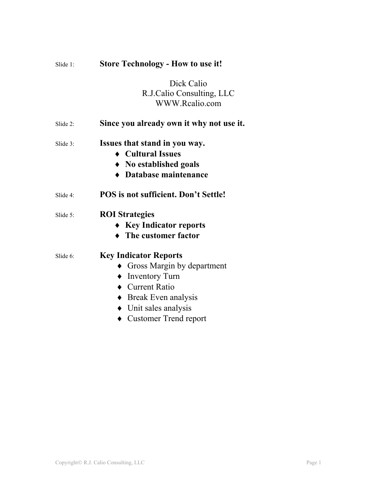| Slide $1$ : | <b>Store Technology - How to use it!</b>                                                                                                                                                                     |
|-------------|--------------------------------------------------------------------------------------------------------------------------------------------------------------------------------------------------------------|
|             | Dick Calio<br>R.J.Calio Consulting, LLC<br>WWW.Rcalio.com                                                                                                                                                    |
| Slide 2:    | Since you already own it why not use it.                                                                                                                                                                     |
| Slide 3:    | Issues that stand in you way.<br>Cultural Issues<br>$\bullet$ No established goals<br><b>Database maintenance</b>                                                                                            |
| Slide 4:    | <b>POS</b> is not sufficient. Don't Settle!                                                                                                                                                                  |
| Slide 5:    | <b>ROI</b> Strategies<br>$\triangleright$ Key Indicator reports<br>$\blacktriangleright$ The customer factor                                                                                                 |
| Slide 6:    | <b>Key Indicator Reports</b><br>Gross Margin by department<br>$\blacklozenge$ Inventory Turn<br>• Current Ratio<br>$\bullet$ Break Even analysis<br>$\bullet$ Unit sales analysis<br>• Customer Trend report |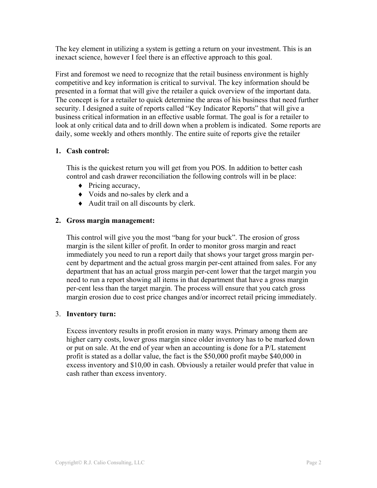The key element in utilizing a system is getting a return on your investment. This is an inexact science, however I feel there is an effective approach to this goal.

First and foremost we need to recognize that the retail business environment is highly competitive and key information is critical to survival. The key information should be presented in a format that will give the retailer a quick overview of the important data. The concept is for a retailer to quick determine the areas of his business that need further security. I designed a suite of reports called "Key Indicator Reports" that will give a business critical information in an effective usable format. The goal is for a retailer to look at only critical data and to drill down when a problem is indicated. Some reports are daily, some weekly and others monthly. The entire suite of reports give the retailer

## **1. Cash control:**

This is the quickest return you will get from you POS. In addition to better cash control and cash drawer reconciliation the following controls will in be place:

- ♦ Pricing accuracy,
- ♦ Voids and no-sales by clerk and a
- ♦ Audit trail on all discounts by clerk.

# **2. Gross margin management:**

This control will give you the most "bang for your buck". The erosion of gross margin is the silent killer of profit. In order to monitor gross margin and react immediately you need to run a report daily that shows your target gross margin percent by department and the actual gross margin per-cent attained from sales. For any department that has an actual gross margin per-cent lower that the target margin you need to run a report showing all items in that department that have a gross margin per-cent less than the target margin. The process will ensure that you catch gross margin erosion due to cost price changes and/or incorrect retail pricing immediately.

## 3. **Inventory turn:**

Excess inventory results in profit erosion in many ways. Primary among them are higher carry costs, lower gross margin since older inventory has to be marked down or put on sale. At the end of year when an accounting is done for a P/L statement profit is stated as a dollar value, the fact is the \$50,000 profit maybe \$40,000 in excess inventory and \$10,00 in cash. Obviously a retailer would prefer that value in cash rather than excess inventory.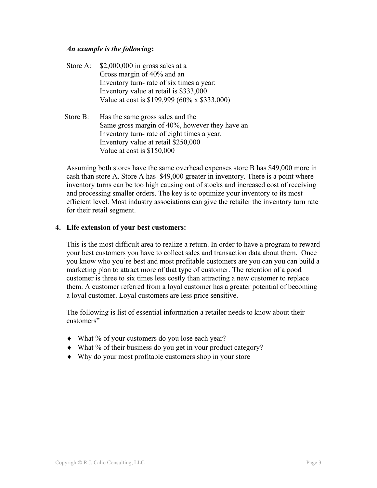### *An example is the following***:**

- Store A:  $$2,000,000$  in gross sales at a Gross margin of 40% and an Inventory turn- rate of six times a year: Inventory value at retail is \$333,000 Value at cost is \$199,999 (60% x \$333,000)
- Store B: Has the same gross sales and the Same gross margin of 40%, however they have an Inventory turn- rate of eight times a year. Inventory value at retail \$250,000 Value at cost is \$150,000

Assuming both stores have the same overhead expenses store B has \$49,000 more in cash than store A. Store A has \$49,000 greater in inventory. There is a point where inventory turns can be too high causing out of stocks and increased cost of receiving and processing smaller orders. The key is to optimize your inventory to its most efficient level. Most industry associations can give the retailer the inventory turn rate for their retail segment.

### **4. Life extension of your best customers:**

This is the most difficult area to realize a return. In order to have a program to reward your best customers you have to collect sales and transaction data about them. Once you know who you're best and most profitable customers are you can you can build a marketing plan to attract more of that type of customer. The retention of a good customer is three to six times less costly than attracting a new customer to replace them. A customer referred from a loyal customer has a greater potential of becoming a loyal customer. Loyal customers are less price sensitive.

The following is list of essential information a retailer needs to know about their customers"

- ♦ What % of your customers do you lose each year?
- ♦ What % of their business do you get in your product category?
- ♦ Why do your most profitable customers shop in your store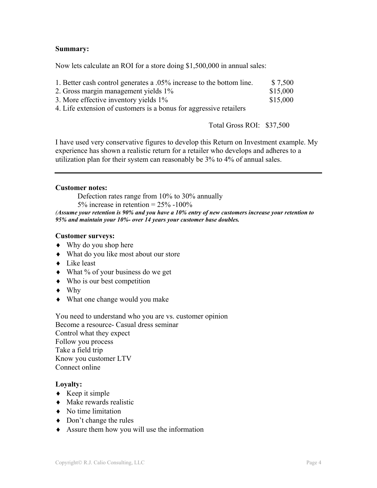### **Summary:**

Now lets calculate an ROI for a store doing \$1,500,000 in annual sales:

| 1. Better cash control generates a .05% increase to the bottom line. | \$7,500  |
|----------------------------------------------------------------------|----------|
| 2. Gross margin management yields 1%                                 | \$15,000 |
| 3. More effective inventory yields 1%                                | \$15,000 |

4. Life extension of customers is a bonus for aggressive retailers

Total Gross ROI: \$37,500

I have used very conservative figures to develop this Return on Investment example. My experience has shown a realistic return for a retailer who develops and adheres to a utilization plan for their system can reasonably be 3% to 4% of annual sales.

#### **Customer notes:**

Defection rates range from 10% to 30% annually 5% increase in retention =  $25\%$  -100% *(Assume your retention is 90% and you have a 10% entry of new customers increase your retention to 95% and maintain your 10%- over 14 years your customer base doubles.* 

#### **Customer surveys:**

- ♦ Why do you shop here
- ♦ What do you like most about our store
- ♦ Like least
- What % of your business do we get
- ♦ Who is our best competition
- ♦ Why
- ♦ What one change would you make

You need to understand who you are vs. customer opinion Become a resource- Casual dress seminar Control what they expect Follow you process Take a field trip Know you customer LTV Connect online

### **Loyalty:**

- $\triangleleft$  Keep it simple
- $\bullet$  Make rewards realistic
- ♦ No time limitation
- $\bullet$  Don't change the rules
- ♦ Assure them how you will use the information